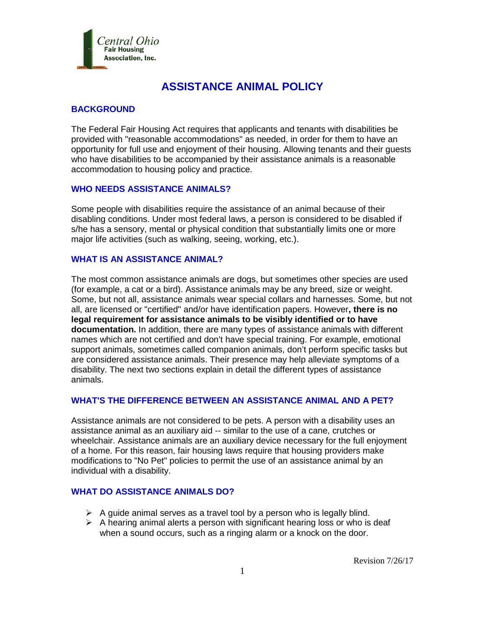

# **ASSISTANCE ANIMAL POLICY**

# **BACKGROUND**

The Federal Fair Housing Act requires that applicants and tenants with disabilities be provided with "reasonable accommodations" as needed, in order for them to have an opportunity for full use and enjoyment of their housing. Allowing tenants and their guests who have disabilities to be accompanied by their assistance animals is a reasonable accommodation to housing policy and practice.

#### **WHO NEEDS ASSISTANCE ANIMALS?**

Some people with disabilities require the assistance of an animal because of their disabling conditions. Under most federal laws, a person is considered to be disabled if s/he has a sensory, mental or physical condition that substantially limits one or more major life activities (such as walking, seeing, working, etc.).

#### **WHAT IS AN ASSISTANCE ANIMAL?**

The most common assistance animals are dogs, but sometimes other species are used (for example, a cat or a bird). Assistance animals may be any breed, size or weight. Some, but not all, assistance animals wear special collars and harnesses. Some, but not all, are licensed or "certified" and/or have identification papers. However**, there is no legal requirement for assistance animals to be visibly identified or to have documentation.** In addition, there are many types of assistance animals with different names which are not certified and don't have special training. For example, emotional support animals, sometimes called companion animals, don't perform specific tasks but are considered assistance animals. Their presence may help alleviate symptoms of a disability. The next two sections explain in detail the different types of assistance animals.

## **WHAT'S THE DIFFERENCE BETWEEN AN ASSISTANCE ANIMAL AND A PET?**

Assistance animals are not considered to be pets. A person with a disability uses an assistance animal as an auxiliary aid -- similar to the use of a cane, crutches or wheelchair. Assistance animals are an auxiliary device necessary for the full enjoyment of a home. For this reason, fair housing laws require that housing providers make modifications to "No Pet" policies to permit the use of an assistance animal by an individual with a disability.

#### **WHAT DO ASSISTANCE ANIMALS DO?**

- $\triangleright$  A guide animal serves as a travel tool by a person who is legally blind.
- $\triangleright$  A hearing animal alerts a person with significant hearing loss or who is deaf when a sound occurs, such as a ringing alarm or a knock on the door.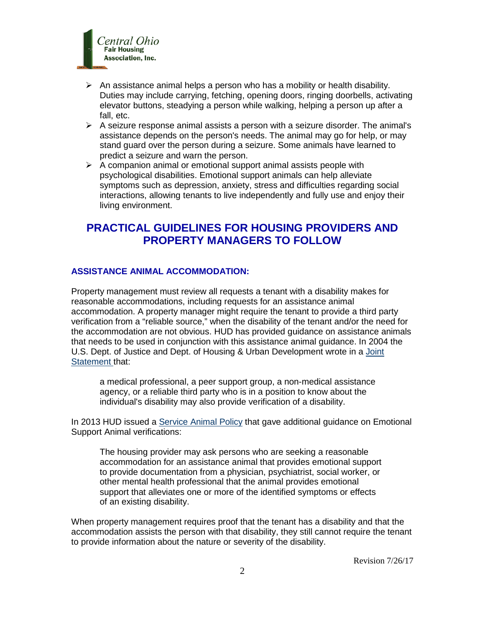

- $\triangleright$  An assistance animal helps a person who has a mobility or health disability. Duties may include carrying, fetching, opening doors, ringing doorbells, activating elevator buttons, steadying a person while walking, helping a person up after a fall, etc.
- $\triangleright$  A seizure response animal assists a person with a seizure disorder. The animal's assistance depends on the person's needs. The animal may go for help, or may stand guard over the person during a seizure. Some animals have learned to predict a seizure and warn the person.
- $\triangleright$  A companion animal or emotional support animal assists people with psychological disabilities. Emotional support animals can help alleviate symptoms such as depression, anxiety, stress and difficulties regarding social interactions, allowing tenants to live independently and fully use and enjoy their living environment.

# **PRACTICAL GUIDELINES FOR HOUSING PROVIDERS AND PROPERTY MANAGERS TO FOLLOW**

## **ASSISTANCE ANIMAL ACCOMMODATION:**

Property management must review all requests a tenant with a disability makes for reasonable accommodations, including requests for an assistance animal accommodation. A property manager might require the tenant to provide a third party verification from a "reliable source," when the disability of the tenant and/or the need for the accommodation are not obvious. HUD has provided guidance on assistance animals that needs to be used in conjunction with this assistance animal guidance. In 2004 the U.S. Dept. of Justice and Dept. of Housing & Urban Development wrote in a [Joint](https://www.hud.gov/offices/fheo/library/huddojstatement.pdf)  [Statement](https://www.hud.gov/offices/fheo/library/huddojstatement.pdf) that:

a medical professional, a peer support group, a non-medical assistance agency, or a reliable third party who is in a position to know about the individual's disability may also provide verification of a disability.

In 2013 HUD issued a [Service Animal Policy](https://portal.hud.gov/hudportal/documents/huddoc?id=servanimals_ntcfheo2013-01.pdf) that gave additional guidance on Emotional Support Animal verifications:

The housing provider may ask persons who are seeking a reasonable accommodation for an assistance animal that provides emotional support to provide documentation from a physician, psychiatrist, social worker, or other mental health professional that the animal provides emotional support that alleviates one or more of the identified symptoms or effects of an existing disability.

When property management requires proof that the tenant has a disability and that the accommodation assists the person with that disability, they still cannot require the tenant to provide information about the nature or severity of the disability.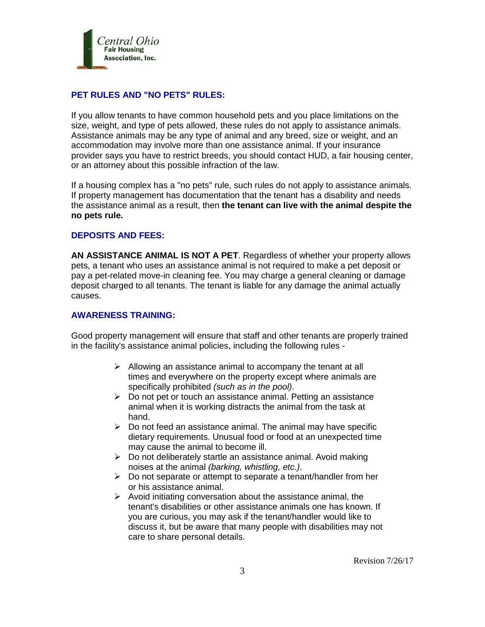

### **PET RULES AND "NO PETS" RULES:**

If you allow tenants to have common household pets and you place limitations on the size, weight, and type of pets allowed, these rules do not apply to assistance animals. Assistance animals may be any type of animal and any breed, size or weight, and an accommodation may involve more than one assistance animal. If your insurance provider says you have to restrict breeds, you should contact HUD, a fair housing center, or an attorney about this possible infraction of the law.

If a housing complex has a "no pets" rule, such rules do not apply to assistance animals. If property management has documentation that the tenant has a disability and needs the assistance animal as a result, then **the tenant can live with the animal despite the no pets rule.** 

#### **DEPOSITS AND FEES:**

**AN ASSISTANCE ANIMAL IS NOT A PET**. Regardless of whether your property allows pets, a tenant who uses an assistance animal is not required to make a pet deposit or pay a pet-related move-in cleaning fee. You may charge a general cleaning or damage deposit charged to all tenants. The tenant is liable for any damage the animal actually causes.

### **AWARENESS TRAINING:**

Good property management will ensure that staff and other tenants are properly trained in the facility's assistance animal policies, including the following rules -

- $\triangleright$  Allowing an assistance animal to accompany the tenant at all times and everywhere on the property except where animals are specifically prohibited *(such as in the pool)*.
- $\triangleright$  Do not pet or touch an assistance animal. Petting an assistance animal when it is working distracts the animal from the task at hand.
- $\triangleright$  Do not feed an assistance animal. The animal may have specific dietary requirements. Unusual food or food at an unexpected time may cause the animal to become ill.
- $\triangleright$  Do not deliberately startle an assistance animal. Avoid making noises at the animal *(barking, whistling, etc.)*.
- $\triangleright$  Do not separate or attempt to separate a tenant/handler from her or his assistance animal.
- $\triangleright$  Avoid initiating conversation about the assistance animal, the tenant's disabilities or other assistance animals one has known. If you are curious, you may ask if the tenant/handler would like to discuss it, but be aware that many people with disabilities may not care to share personal details.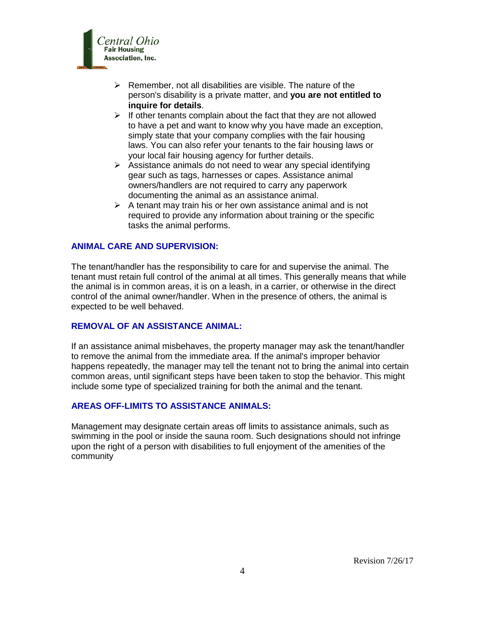

- $\triangleright$  Remember, not all disabilities are visible. The nature of the person's disability is a private matter, and **you are not entitled to inquire for details**.
- $\triangleright$  If other tenants complain about the fact that they are not allowed to have a pet and want to know why you have made an exception, simply state that your company complies with the fair housing laws. You can also refer your tenants to the fair housing laws or your local fair housing agency for further details.
- $\triangleright$  Assistance animals do not need to wear any special identifying gear such as tags, harnesses or capes. Assistance animal owners/handlers are not required to carry any paperwork documenting the animal as an assistance animal.
- $\triangleright$  A tenant may train his or her own assistance animal and is not required to provide any information about training or the specific tasks the animal performs.

# **ANIMAL CARE AND SUPERVISION:**

The tenant/handler has the responsibility to care for and supervise the animal. The tenant must retain full control of the animal at all times. This generally means that while the animal is in common areas, it is on a leash, in a carrier, or otherwise in the direct control of the animal owner/handler. When in the presence of others, the animal is expected to be well behaved.

#### **REMOVAL OF AN ASSISTANCE ANIMAL:**

If an assistance animal misbehaves, the property manager may ask the tenant/handler to remove the animal from the immediate area. If the animal's improper behavior happens repeatedly, the manager may tell the tenant not to bring the animal into certain common areas, until significant steps have been taken to stop the behavior. This might include some type of specialized training for both the animal and the tenant.

#### **AREAS OFF-LIMITS TO ASSISTANCE ANIMALS:**

Management may designate certain areas off limits to assistance animals, such as swimming in the pool or inside the sauna room. Such designations should not infringe upon the right of a person with disabilities to full enjoyment of the amenities of the community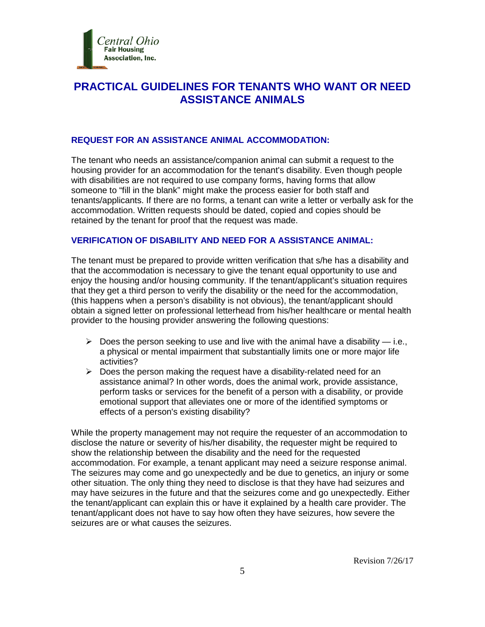

# **PRACTICAL GUIDELINES FOR TENANTS WHO WANT OR NEED ASSISTANCE ANIMALS**

#### **REQUEST FOR AN ASSISTANCE ANIMAL ACCOMMODATION:**

The tenant who needs an assistance/companion animal can submit a request to the housing provider for an accommodation for the tenant's disability. Even though people with disabilities are not required to use company forms, having forms that allow someone to "fill in the blank" might make the process easier for both staff and tenants/applicants. If there are no forms, a tenant can write a letter or verbally ask for the accommodation. Written requests should be dated, copied and copies should be retained by the tenant for proof that the request was made.

### **VERIFICATION OF DISABILITY AND NEED FOR A ASSISTANCE ANIMAL:**

The tenant must be prepared to provide written verification that s/he has a disability and that the accommodation is necessary to give the tenant equal opportunity to use and enjoy the housing and/or housing community. If the tenant/applicant's situation requires that they get a third person to verify the disability or the need for the accommodation, (this happens when a person's disability is not obvious), the tenant/applicant should obtain a signed letter on professional letterhead from his/her healthcare or mental health provider to the housing provider answering the following questions:

- $\triangleright$  Does the person seeking to use and live with the animal have a disability i.e., a physical or mental impairment that substantially limits one or more major life activities?
- $\triangleright$  Does the person making the request have a disability-related need for an assistance animal? In other words, does the animal work, provide assistance, perform tasks or services for the benefit of a person with a disability, or provide emotional support that alleviates one or more of the identified symptoms or effects of a person's existing disability?

While the property management may not require the requester of an accommodation to disclose the nature or severity of his/her disability, the requester might be required to show the relationship between the disability and the need for the requested accommodation. For example, a tenant applicant may need a seizure response animal. The seizures may come and go unexpectedly and be due to genetics, an injury or some other situation. The only thing they need to disclose is that they have had seizures and may have seizures in the future and that the seizures come and go unexpectedly. Either the tenant/applicant can explain this or have it explained by a health care provider. The tenant/applicant does not have to say how often they have seizures, how severe the seizures are or what causes the seizures.